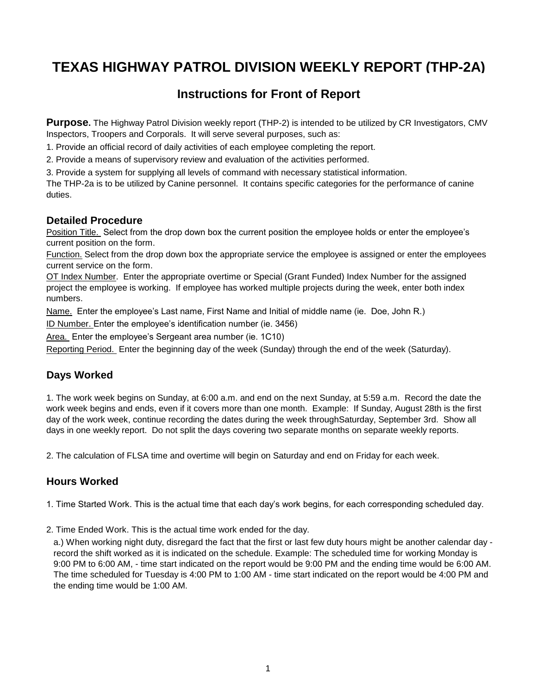# **TEXAS HIGHWAY PATROL DIVISION WEEKLY REPORT (THP-2A)**

# **Instructions for Front of Report**

**Purpose.** The Highway Patrol Division weekly report (THP-2) is intended to be utilized by CR Investigators, CMV Inspectors, Troopers and Corporals. It will serve several purposes, such as:

1. Provide an official record of daily activities of each employee completing the report.

2. Provide a means of supervisory review and evaluation of the activities performed.

3. Provide a system for supplying all levels of command with necessary statistical information.

The THP-2a is to be utilized by Canine personnel. It contains specific categories for the performance of canine duties.

### **Detailed Procedure**

Position Title. Select from the drop down box the current position the employee holds or enter the employee's current position on the form.

Function. Select from the drop down box the appropriate service the employee is assigned or enter the employees current service on the form.

OT Index Number. Enter the appropriate overtime or Special (Grant Funded) Index Number for the assigned project the employee is working. If employee has worked multiple projects during the week, enter both index numbers.

Name. Enter the employee's Last name, First Name and Initial of middle name (ie. Doe, John R.)

ID Number. Enter the employee's identification number (ie. 3456)

Area. Enter the employee's Sergeant area number (ie. 1C10)

Reporting Period. Enter the beginning day of the week (Sunday) through the end of the week (Saturday).

# **Days Worked**

1. The work week begins on Sunday, at 6:00 a.m. and end on the next Sunday, at 5:59 a.m. Record the date the work week begins and ends, even if it covers more than one month. Example: If Sunday, August 28th is the first day of the work week, continue recording the dates during the week throughSaturday, September 3rd. Show all days in one weekly report. Do not split the days covering two separate months on separate weekly reports.

2. The calculation of FLSA time and overtime will begin on Saturday and end on Friday for each week.

# **Hours Worked**

1. Time Started Work. This is the actual time that each day's work begins, for each corresponding scheduled day.

2. Time Ended Work. This is the actual time work ended for the day.

a.) When working night duty, disregard the fact that the first or last few duty hours might be another calendar day record the shift worked as it is indicated on the schedule. Example: The scheduled time for working Monday is 9:00 PM to 6:00 AM, - time start indicated on the report would be 9:00 PM and the ending time would be 6:00 AM. The time scheduled for Tuesday is 4:00 PM to 1:00 AM - time start indicated on the report would be 4:00 PM and the ending time would be 1:00 AM.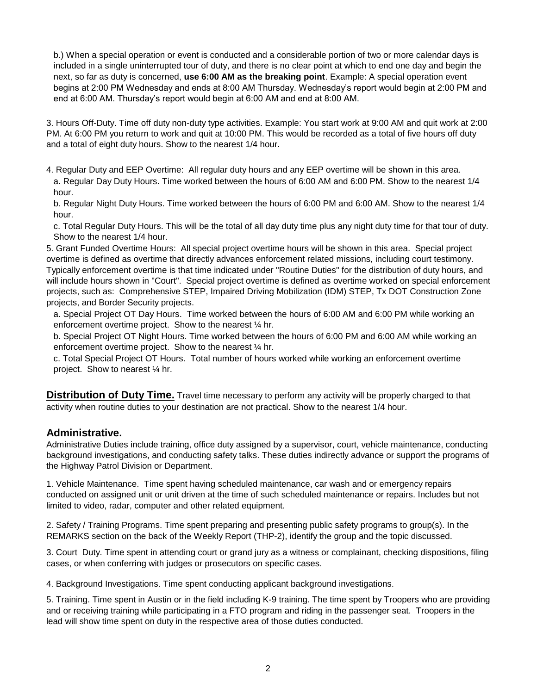b.) When a special operation or event is conducted and a considerable portion of two or more calendar days is included in a single uninterrupted tour of duty, and there is no clear point at which to end one day and begin the next, so far as duty is concerned, **use 6:00 AM as the breaking point**. Example: A special operation event begins at 2:00 PM Wednesday and ends at 8:00 AM Thursday. Wednesday's report would begin at 2:00 PM and end at 6:00 AM. Thursday's report would begin at 6:00 AM and end at 8:00 AM.

3. Hours Off-Duty. Time off duty non-duty type activities. Example: You start work at 9:00 AM and quit work at 2:00 PM. At 6:00 PM you return to work and quit at 10:00 PM. This would be recorded as a total of five hours off duty and a total of eight duty hours. Show to the nearest 1/4 hour.

4. Regular Duty and EEP Overtime: All regular duty hours and any EEP overtime will be shown in this area. a. Regular Day Duty Hours. Time worked between the hours of 6:00 AM and 6:00 PM. Show to the nearest 1/4 hour.

b. Regular Night Duty Hours. Time worked between the hours of 6:00 PM and 6:00 AM. Show to the nearest 1/4 hour.

c. Total Regular Duty Hours. This will be the total of all day duty time plus any night duty time for that tour of duty. Show to the nearest 1/4 hour.

5. Grant Funded Overtime Hours: All special project overtime hours will be shown in this area. Special project overtime is defined as overtime that directly advances enforcement related missions, including court testimony. Typically enforcement overtime is that time indicated under "Routine Duties" for the distribution of duty hours, and will include hours shown in "Court". Special project overtime is defined as overtime worked on special enforcement projects, such as: Comprehensive STEP, Impaired Driving Mobilization (IDM) STEP, Tx DOT Construction Zone projects, and Border Security projects.

a. Special Project OT Day Hours. Time worked between the hours of 6:00 AM and 6:00 PM while working an enforcement overtime project. Show to the nearest ¼ hr.

b. Special Project OT Night Hours. Time worked between the hours of 6:00 PM and 6:00 AM while working an enforcement overtime project. Show to the nearest ¼ hr.

c. Total Special Project OT Hours. Total number of hours worked while working an enforcement overtime project. Show to nearest ¼ hr.

**Distribution of Duty Time.** Travel time necessary to perform any activity will be properly charged to that activity when routine duties to your destination are not practical. Show to the nearest 1/4 hour.

### **Administrative.**

Administrative Duties include training, office duty assigned by a supervisor, court, vehicle maintenance, conducting background investigations, and conducting safety talks. These duties indirectly advance or support the programs of the Highway Patrol Division or Department.

1. Vehicle Maintenance. Time spent having scheduled maintenance, car wash and or emergency repairs conducted on assigned unit or unit driven at the time of such scheduled maintenance or repairs. Includes but not limited to video, radar, computer and other related equipment.

2. Safety / Training Programs. Time spent preparing and presenting public safety programs to group(s). In the REMARKS section on the back of the Weekly Report (THP-2), identify the group and the topic discussed.

3. Court Duty. Time spent in attending court or grand jury as a witness or complainant, checking dispositions, filing cases, or when conferring with judges or prosecutors on specific cases.

4. Background Investigations. Time spent conducting applicant background investigations.

5. Training. Time spent in Austin or in the field including K-9 training. The time spent by Troopers who are providing and or receiving training while participating in a FTO program and riding in the passenger seat. Troopers in the lead will show time spent on duty in the respective area of those duties conducted.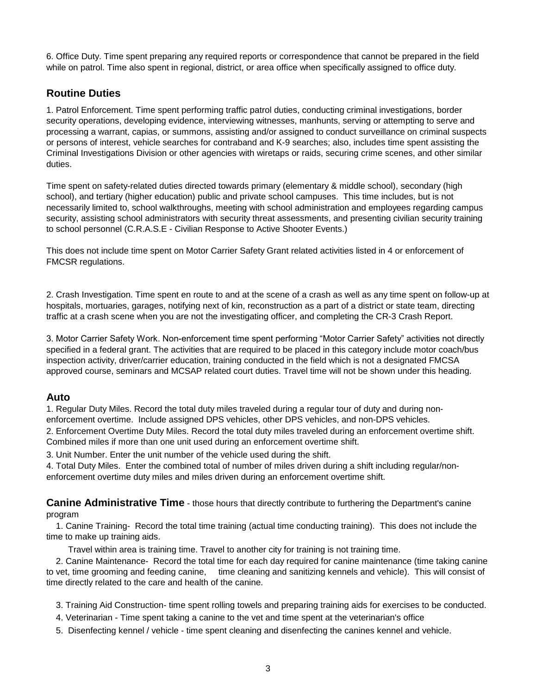6. Office Duty. Time spent preparing any required reports or correspondence that cannot be prepared in the field while on patrol. Time also spent in regional, district, or area office when specifically assigned to office duty.

# **Routine Duties**

1. Patrol Enforcement. Time spent performing traffic patrol duties, conducting criminal investigations, border security operations, developing evidence, interviewing witnesses, manhunts, serving or attempting to serve and processing a warrant, capias, or summons, assisting and/or assigned to conduct surveillance on criminal suspects or persons of interest, vehicle searches for contraband and K-9 searches; also, includes time spent assisting the Criminal Investigations Division or other agencies with wiretaps or raids, securing crime scenes, and other similar duties.

Time spent on safety-related duties directed towards primary (elementary & middle school), secondary (high school), and tertiary (higher education) public and private school campuses. This time includes, but is not necessarily limited to, school walkthroughs, meeting with school administration and employees regarding campus security, assisting school administrators with security threat assessments, and presenting civilian security training to school personnel (C.R.A.S.E - Civilian Response to Active Shooter Events.)

This does not include time spent on Motor Carrier Safety Grant related activities listed in 4 or enforcement of FMCSR regulations.

2. Crash Investigation. Time spent en route to and at the scene of a crash as well as any time spent on follow-up at hospitals, mortuaries, garages, notifying next of kin, reconstruction as a part of a district or state team, directing traffic at a crash scene when you are not the investigating officer, and completing the CR-3 Crash Report.

3. Motor Carrier Safety Work. Non-enforcement time spent performing "Motor Carrier Safety" activities not directly specified in a federal grant. The activities that are required to be placed in this category include motor coach/bus inspection activity, driver/carrier education, training conducted in the field which is not a designated FMCSA approved course, seminars and MCSAP related court duties. Travel time will not be shown under this heading.

### **Auto**

1. Regular Duty Miles. Record the total duty miles traveled during a regular tour of duty and during nonenforcement overtime. Include assigned DPS vehicles, other DPS vehicles, and non-DPS vehicles.

2. Enforcement Overtime Duty Miles. Record the total duty miles traveled during an enforcement overtime shift. Combined miles if more than one unit used during an enforcement overtime shift.

3. Unit Number. Enter the unit number of the vehicle used during the shift.

4. Total Duty Miles. Enter the combined total of number of miles driven during a shift including regular/nonenforcement overtime duty miles and miles driven during an enforcement overtime shift.

**Canine Administrative Time** - those hours that directly contribute to furthering the Department's canine program

 1. Canine Training- Record the total time training (actual time conducting training). This does not include the time to make up training aids.

Travel within area is training time. Travel to another city for training is not training time.

 2. Canine Maintenance- Record the total time for each day required for canine maintenance (time taking canine to vet, time grooming and feeding canine, time cleaning and sanitizing kennels and vehicle). This will consist of time directly related to the care and health of the canine.

- 3. Training Aid Construction- time spent rolling towels and preparing training aids for exercises to be conducted.
- 4. Veterinarian Time spent taking a canine to the vet and time spent at the veterinarian's office
- 5. Disenfecting kennel / vehicle time spent cleaning and disenfecting the canines kennel and vehicle.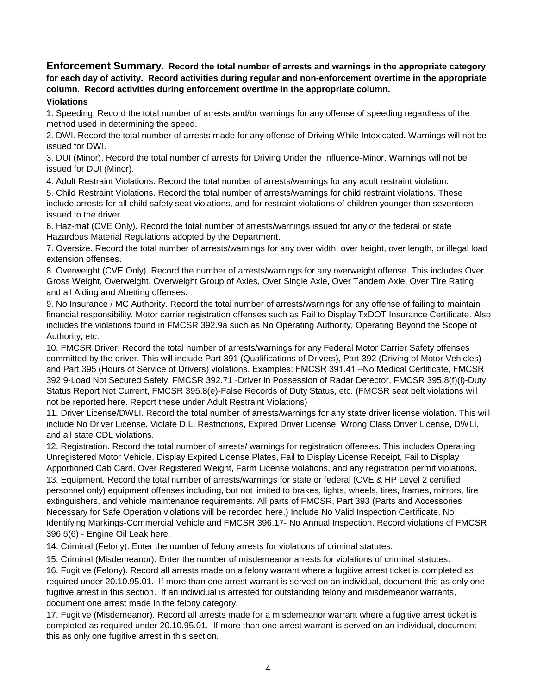**Enforcement Summary. Record the total number of arrests and warnings in the appropriate category for each day of activity. Record activities during regular and non-enforcement overtime in the appropriate column. Record activities during enforcement overtime in the appropriate column.**

#### **Violations**

1. Speeding. Record the total number of arrests and/or warnings for any offense of speeding regardless of the method used in determining the speed.

2. DWl. Record the total number of arrests made for any offense of Driving While Intoxicated. Warnings will not be issued for DWI.

3. DUI (Minor). Record the total number of arrests for Driving Under the Influence-Minor. Warnings will not be issued for DUI (Minor).

4. Adult Restraint Violations. Record the total number of arrests/warnings for any adult restraint violation.

5. Child Restraint Violations. Record the total number of arrests/warnings for child restraint violations. These include arrests for all child safety seat violations, and for restraint violations of children younger than seventeen issued to the driver.

6. Haz-mat (CVE Only). Record the total number of arrests/warnings issued for any of the federal or state Hazardous Material Regulations adopted by the Department.

7. Oversize. Record the total number of arrests/warnings for any over width, over height, over length, or illegal load extension offenses.

8. Overweight (CVE Only). Record the number of arrests/warnings for any overweight offense. This includes Over Gross Weight, Overweight, Overweight Group of Axles, Over Single Axle, Over Tandem Axle, Over Tire Rating, and all Aiding and Abetting offenses.

9. No Insurance / MC Authority. Record the total number of arrests/warnings for any offense of failing to maintain financial responsibility. Motor carrier registration offenses such as Fail to Display TxDOT Insurance Certificate. Also includes the violations found in FMCSR 392.9a such as No Operating Authority, Operating Beyond the Scope of Authority, etc.

10. FMCSR Driver. Record the total number of arrests/warnings for any Federal Motor Carrier Safety offenses committed by the driver. This will include Part 391 (Qualifications of Drivers), Part 392 (Driving of Motor Vehicles) and Part 395 (Hours of Service of Drivers) violations. Examples: FMCSR 391.41 –No Medical Certificate, FMCSR 392.9-Load Not Secured Safely, FMCSR 392.71 -Driver in Possession of Radar Detector, FMCSR 395.8(f)(l)-Duty Status Report Not Current, FMCSR 395.8(e)-False Records of Duty Status, etc. (FMCSR seat belt violations will not be reported here. Report these under Adult Restraint Violations)

11. Driver License/DWLI. Record the total number of arrests/warnings for any state driver license violation. This will include No Driver License, Violate D.L. Restrictions, Expired Driver License, Wrong Class Driver License, DWLI, and all state CDL violations.

12. Registration. Record the total number of arrests/ warnings for registration offenses. This includes Operating Unregistered Motor Vehicle, Display Expired License Plates, Fail to Display License Receipt, Fail to Display Apportioned Cab Card, Over Registered Weight, Farm License violations, and any registration permit violations. 13. Equipment. Record the total number of arrests/warnings for state or federal (CVE & HP Level 2 certified personnel only) equipment offenses including, but not limited to brakes, lights, wheels, tires, frames, mirrors, fire extinguishers, and vehicle maintenance requirements. All parts of FMCSR, Part 393 (Parts and Accessories Necessary for Safe Operation violations will be recorded here.) Include No Valid Inspection Certificate, No Identifying Markings-Commercial Vehicle and FMCSR 396.17- No Annual Inspection. Record violations of FMCSR 396.5(6) - Engine Oil Leak here.

14. Criminal (Felony). Enter the number of felony arrests for violations of criminal statutes.

15. Criminal (Misdemeanor). Enter the number of misdemeanor arrests for violations of criminal statutes.

16. Fugitive (Felony). Record all arrests made on a felony warrant where a fugitive arrest ticket is completed as required under 20.10.95.01. If more than one arrest warrant is served on an individual, document this as only one fugitive arrest in this section. If an individual is arrested for outstanding felony and misdemeanor warrants, document one arrest made in the felony category.

17. Fugitive (Misdemeanor). Record all arrests made for a misdemeanor warrant where a fugitive arrest ticket is completed as required under 20.10.95.01. If more than one arrest warrant is served on an individual, document this as only one fugitive arrest in this section.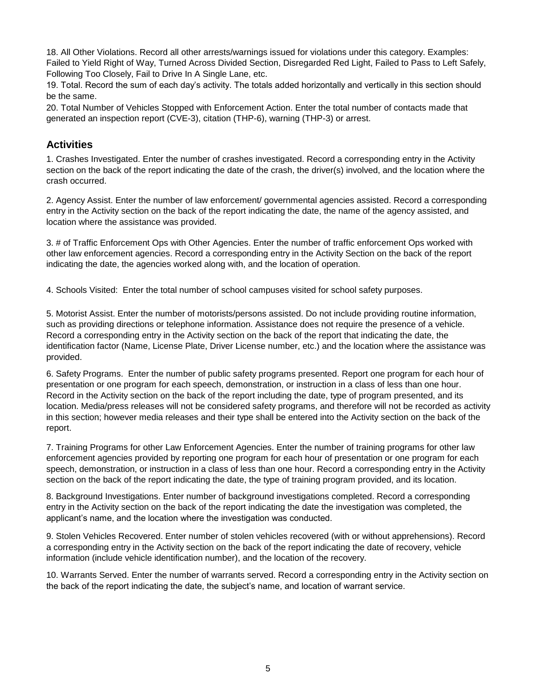18. All Other Violations. Record all other arrests/warnings issued for violations under this category. Examples: Failed to Yield Right of Way, Turned Across Divided Section, Disregarded Red Light, Failed to Pass to Left Safely, Following Too Closely, Fail to Drive In A Single Lane, etc.

19. Total. Record the sum of each day's activity. The totals added horizontally and vertically in this section should be the same.

20. Total Number of Vehicles Stopped with Enforcement Action. Enter the total number of contacts made that generated an inspection report (CVE-3), citation (THP-6), warning (THP-3) or arrest.

## **Activities**

1. Crashes Investigated. Enter the number of crashes investigated. Record a corresponding entry in the Activity section on the back of the report indicating the date of the crash, the driver(s) involved, and the location where the crash occurred.

2. Agency Assist. Enter the number of law enforcement/ governmental agencies assisted. Record a corresponding entry in the Activity section on the back of the report indicating the date, the name of the agency assisted, and location where the assistance was provided.

3. # of Traffic Enforcement Ops with Other Agencies. Enter the number of traffic enforcement Ops worked with other law enforcement agencies. Record a corresponding entry in the Activity Section on the back of the report indicating the date, the agencies worked along with, and the location of operation.

4. Schools Visited: Enter the total number of school campuses visited for school safety purposes.

5. Motorist Assist. Enter the number of motorists/persons assisted. Do not include providing routine information, such as providing directions or telephone information. Assistance does not require the presence of a vehicle. Record a corresponding entry in the Activity section on the back of the report that indicating the date, the identification factor (Name, License Plate, Driver License number, etc.) and the location where the assistance was provided.

6. Safety Programs. Enter the number of public safety programs presented. Report one program for each hour of presentation or one program for each speech, demonstration, or instruction in a class of less than one hour. Record in the Activity section on the back of the report including the date, type of program presented, and its location. Media/press releases will not be considered safety programs, and therefore will not be recorded as activity in this section; however media releases and their type shall be entered into the Activity section on the back of the report.

7. Training Programs for other Law Enforcement Agencies. Enter the number of training programs for other law enforcement agencies provided by reporting one program for each hour of presentation or one program for each speech, demonstration, or instruction in a class of less than one hour. Record a corresponding entry in the Activity section on the back of the report indicating the date, the type of training program provided, and its location.

8. Background Investigations. Enter number of background investigations completed. Record a corresponding entry in the Activity section on the back of the report indicating the date the investigation was completed, the applicant's name, and the location where the investigation was conducted.

9. Stolen Vehicles Recovered. Enter number of stolen vehicles recovered (with or without apprehensions). Record a corresponding entry in the Activity section on the back of the report indicating the date of recovery, vehicle information (include vehicle identification number), and the location of the recovery.

10. Warrants Served. Enter the number of warrants served. Record a corresponding entry in the Activity section on the back of the report indicating the date, the subject's name, and location of warrant service.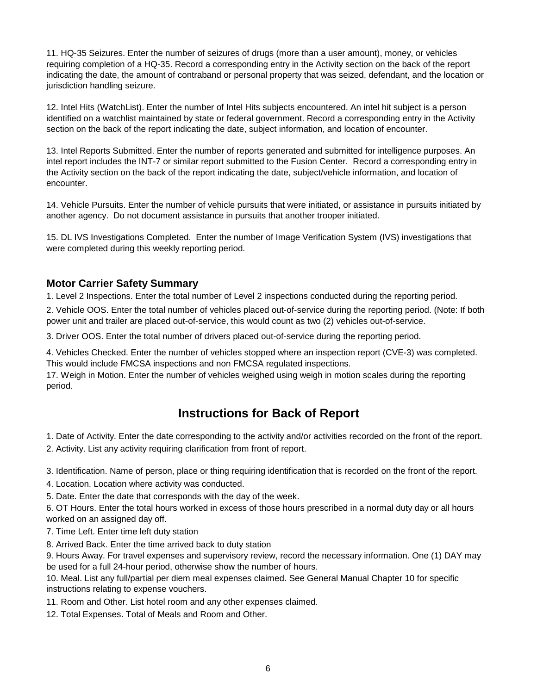11. HQ-35 Seizures. Enter the number of seizures of drugs (more than a user amount), money, or vehicles requiring completion of a HQ-35. Record a corresponding entry in the Activity section on the back of the report indicating the date, the amount of contraband or personal property that was seized, defendant, and the location or jurisdiction handling seizure.

12. Intel Hits (WatchList). Enter the number of Intel Hits subjects encountered. An intel hit subject is a person identified on a watchlist maintained by state or federal government. Record a corresponding entry in the Activity section on the back of the report indicating the date, subject information, and location of encounter.

13. Intel Reports Submitted. Enter the number of reports generated and submitted for intelligence purposes. An intel report includes the INT-7 or similar report submitted to the Fusion Center. Record a corresponding entry in the Activity section on the back of the report indicating the date, subject/vehicle information, and location of encounter.

14. Vehicle Pursuits. Enter the number of vehicle pursuits that were initiated, or assistance in pursuits initiated by another agency. Do not document assistance in pursuits that another trooper initiated.

15. DL IVS Investigations Completed. Enter the number of Image Verification System (IVS) investigations that were completed during this weekly reporting period.

### **Motor Carrier Safety Summary**

1. Level 2 Inspections. Enter the total number of Level 2 inspections conducted during the reporting period.

2. Vehicle OOS. Enter the total number of vehicles placed out-of-service during the reporting period. (Note: If both power unit and trailer are placed out-of-service, this would count as two (2) vehicles out-of-service.

3. Driver OOS. Enter the total number of drivers placed out-of-service during the reporting period.

4. Vehicles Checked. Enter the number of vehicles stopped where an inspection report (CVE-3) was completed. This would include FMCSA inspections and non FMCSA regulated inspections.

17. Weigh in Motion. Enter the number of vehicles weighed using weigh in motion scales during the reporting period.

# **Instructions for Back of Report**

1. Date of Activity. Enter the date corresponding to the activity and/or activities recorded on the front of the report.

2. Activity. List any activity requiring clarification from front of report.

3. Identification. Name of person, place or thing requiring identification that is recorded on the front of the report.

4. Location. Location where activity was conducted.

5. Date. Enter the date that corresponds with the day of the week.

6. OT Hours. Enter the total hours worked in excess of those hours prescribed in a normal duty day or all hours worked on an assigned day off.

7. Time Left. Enter time left duty station

8. Arrived Back. Enter the time arrived back to duty station

9. Hours Away. For travel expenses and supervisory review, record the necessary information. One (1) DAY may be used for a full 24-hour period, otherwise show the number of hours.

10. Meal. List any full/partial per diem meal expenses claimed. See General Manual Chapter 10 for specific instructions relating to expense vouchers.

- 11. Room and Other. List hotel room and any other expenses claimed.
- 12. Total Expenses. Total of Meals and Room and Other.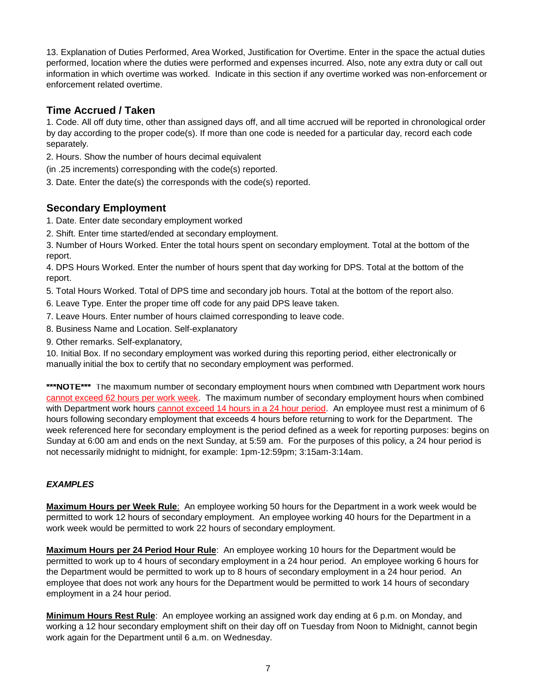13. Explanation of Duties Performed, Area Worked, Justification for Overtime. Enter in the space the actual duties performed, location where the duties were performed and expenses incurred. Also, note any extra duty or call out information in which overtime was worked. Indicate in this section if any overtime worked was non-enforcement or enforcement related overtime.

# **Time Accrued / Taken**

1. Code. All off duty time, other than assigned days off, and all time accrued will be reported in chronological order by day according to the proper code(s). If more than one code is needed for a particular day, record each code separately.

- 2. Hours. Show the number of hours decimal equivalent
- (in .25 increments) corresponding with the code(s) reported.
- 3. Date. Enter the date(s) the corresponds with the code(s) reported.

# **Secondary Employment**

- 1. Date. Enter date secondary employment worked
- 2. Shift. Enter time started/ended at secondary employment.

3. Number of Hours Worked. Enter the total hours spent on secondary employment. Total at the bottom of the report.

4. DPS Hours Worked. Enter the number of hours spent that day working for DPS. Total at the bottom of the report.

- 5. Total Hours Worked. Total of DPS time and secondary job hours. Total at the bottom of the report also.
- 6. Leave Type. Enter the proper time off code for any paid DPS leave taken.
- 7. Leave Hours. Enter number of hours claimed corresponding to leave code.
- 8. Business Name and Location. Self-explanatory
- 9. Other remarks. Self-explanatory,

10. Initial Box. If no secondary employment was worked during this reporting period, either electronically or manually initial the box to certify that no secondary employment was performed.

**\*\*\*NOTE\*\*\*** The maximum number of secondary employment hours when combined with Department work hours cannot exceed 62 hours per work week. The maximum number of secondary employment hours when combined with Department work hours cannot exceed 14 hours in a 24 hour period. An employee must rest a minimum of 6 hours following secondary employment that exceeds 4 hours before returning to work for the Department. The week referenced here for secondary employment is the period defined as a week for reporting purposes: begins on Sunday at 6:00 am and ends on the next Sunday, at 5:59 am. For the purposes of this policy, a 24 hour period is not necessarily midnight to midnight, for example: 1pm-12:59pm; 3:15am-3:14am.

### *EXAMPLES*

**Maximum Hours per Week Rule**: An employee working 50 hours for the Department in a work week would be permitted to work 12 hours of secondary employment. An employee working 40 hours for the Department in a work week would be permitted to work 22 hours of secondary employment.

**Maximum Hours per 24 Period Hour Rule**: An employee working 10 hours for the Department would be permitted to work up to 4 hours of secondary employment in a 24 hour period. An employee working 6 hours for the Department would be permitted to work up to 8 hours of secondary employment in a 24 hour period. An employee that does not work any hours for the Department would be permitted to work 14 hours of secondary employment in a 24 hour period.

**Minimum Hours Rest Rule**: An employee working an assigned work day ending at 6 p.m. on Monday, and working a 12 hour secondary employment shift on their day off on Tuesday from Noon to Midnight, cannot begin work again for the Department until 6 a.m. on Wednesday.